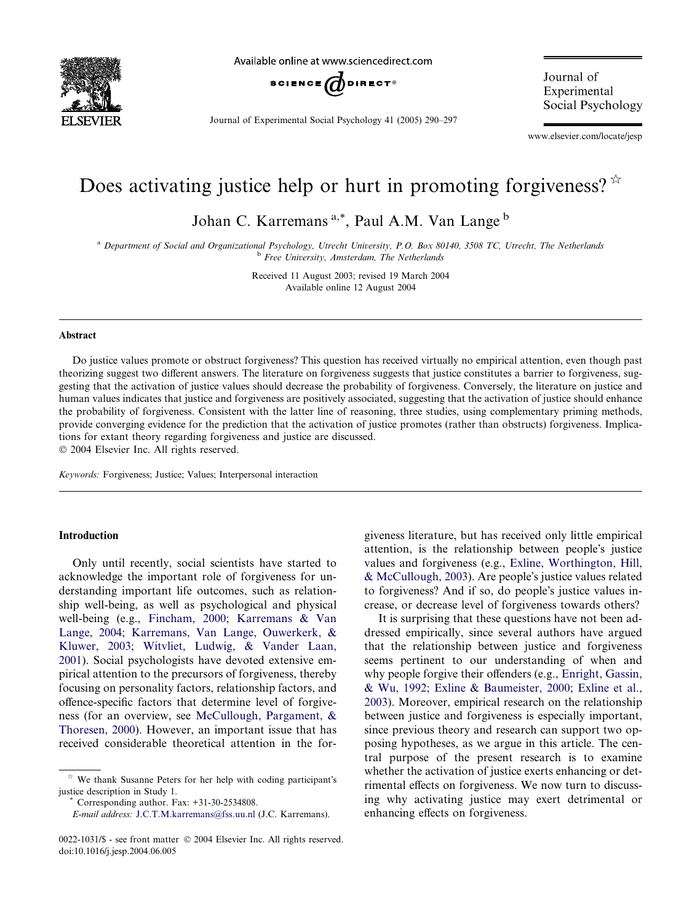

Available online at www.sciencedirect.com



Journal of Experimental Social Psychology 41 (2005) 290–297

Journal of Experimental Social Psychology

www.elsevier.com/locate/jesp

# Does activating justice help or hurt in promoting forgiveness?  $\mathbb{R}^2$

Johan C. Karremans<sup>a,\*</sup>, Paul A.M. Van Lange<sup>b</sup>

<sup>a</sup> Department of Social and Organizational Psychology, Utrecht University, P.O. Box 80140, 3508 TC, Utrecht, The Netherlands <sup>b</sup> Free University, Amsterdam, The Netherlands

> Received 11 August 2003; revised 19 March 2004 Available online 12 August 2004

#### Abstract

Do justice values promote or obstruct forgiveness? This question has received virtually no empirical attention, even though past theorizing suggest two different answers. The literature on forgiveness suggests that justice constitutes a barrier to forgiveness, suggesting that the activation of justice values should decrease the probability of forgiveness. Conversely, the literature on justice and human values indicates that justice and forgiveness are positively associated, suggesting that the activation of justice should enhance the probability of forgiveness. Consistent with the latter line of reasoning, three studies, using complementary priming methods, provide converging evidence for the prediction that the activation of justice promotes (rather than obstructs) forgiveness. Implications for extant theory regarding forgiveness and justice are discussed.

2004 Elsevier Inc. All rights reserved.

Keywords: Forgiveness; Justice; Values; Interpersonal interaction

### Introduction

Only until recently, social scientists have started to acknowledge the important role of forgiveness for understanding important life outcomes, such as relationship well-being, as well as psychological and physical well-being (e.g., [Fincham, 2000;](#page--1-0) [Karremans & Van](#page--1-0) [Lange, 2004](#page--1-0); [Karremans, Van Lange, Ouwerkerk, &](#page--1-0) [Kluwer, 2003;](#page--1-0) [Witvliet, Ludwig, & Vander Laan,](#page--1-0) [2001\)](#page--1-0). Social psychologists have devoted extensive empirical attention to the precursors of forgiveness, thereby focusing on personality factors, relationship factors, and offence-specific factors that determine level of forgiveness (for an overview, see [McCullough, Pargament, &](#page--1-0) [Thoresen, 2000](#page--1-0)). However, an important issue that has received considerable theoretical attention in the for-

giveness literature, but has received only little empirical attention, is the relationship between people's justice values and forgiveness (e.g., [Exline, Worthington, Hill,](#page--1-0)  $&$  McCullough, 2003). Are people's justice values related to forgiveness? And if so, do people's justice values increase, or decrease level of forgiveness towards others?

It is surprising that these questions have not been addressed empirically, since several authors have argued that the relationship between justice and forgiveness seems pertinent to our understanding of when and why people forgive their offenders (e.g., [Enright, Gassin,](#page--1-0) [& Wu, 1992](#page--1-0); [Exline & Baumeister, 2000;](#page--1-0) [Exline et al.,](#page--1-0) [2003\)](#page--1-0). Moreover, empirical research on the relationship between justice and forgiveness is especially important, since previous theory and research can support two opposing hypotheses, as we argue in this article. The central purpose of the present research is to examine whether the activation of justice exerts enhancing or detrimental effects on forgiveness. We now turn to discussing why activating justice may exert detrimental or enhancing effects on forgiveness.

 $\dot{\gamma}$  We thank Susanne Peters for her help with coding participant's justice description in Study 1. \* Corresponding author. Fax: +31-30-2534808.

E-mail address: [J.C.T.M.karremans@fss.uu.nl](mailto:J.C.T.M.karremans@fss.uu.nl ) (J.C. Karremans).

<sup>0022-1031/\$ -</sup> see front matter © 2004 Elsevier Inc. All rights reserved. doi:10.1016/j.jesp.2004.06.005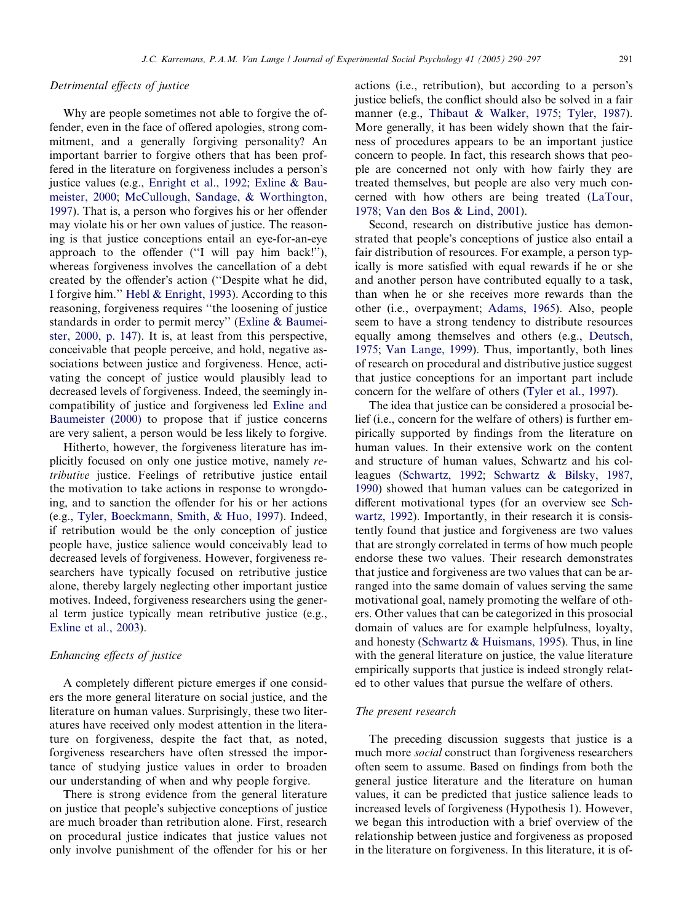#### Detrimental effects of justice

Why are people sometimes not able to forgive the offender, even in the face of offered apologies, strong commitment, and a generally forgiving personality? An important barrier to forgive others that has been proffered in the literature on forgiveness includes a person's justice values (e.g., [Enright et al., 1992](#page--1-0); [Exline & Bau](#page--1-0)[meister, 2000](#page--1-0); [McCullough, Sandage, & Worthington,](#page--1-0) [1997](#page--1-0)). That is, a person who forgives his or her offender may violate his or her own values of justice. The reasoning is that justice conceptions entail an eye-for-an-eye approach to the offender (''I will pay him back!''), whereas forgiveness involves the cancellation of a debt created by the offender's action ("Despite what he did, I forgive him.'' [Hebl & Enright, 1993](#page--1-0)). According to this reasoning, forgiveness requires ''the loosening of justice standards in order to permit mercy'' [\(Exline & Baumei](#page--1-0)[ster, 2000, p. 147](#page--1-0)). It is, at least from this perspective, conceivable that people perceive, and hold, negative associations between justice and forgiveness. Hence, activating the concept of justice would plausibly lead to decreased levels of forgiveness. Indeed, the seemingly incompatibility of justice and forgiveness led [Exline and](#page--1-0) [Baumeister \(2000\)](#page--1-0) to propose that if justice concerns are very salient, a person would be less likely to forgive.

Hitherto, however, the forgiveness literature has implicitly focused on only one justice motive, namely retributive justice. Feelings of retributive justice entail the motivation to take actions in response to wrongdoing, and to sanction the offender for his or her actions (e.g., [Tyler, Boeckmann, Smith, & Huo, 1997](#page--1-0)). Indeed, if retribution would be the only conception of justice people have, justice salience would conceivably lead to decreased levels of forgiveness. However, forgiveness researchers have typically focused on retributive justice alone, thereby largely neglecting other important justice motives. Indeed, forgiveness researchers using the general term justice typically mean retributive justice (e.g., [Exline et al., 2003](#page--1-0)).

#### Enhancing effects of justice

A completely different picture emerges if one considers the more general literature on social justice, and the literature on human values. Surprisingly, these two literatures have received only modest attention in the literature on forgiveness, despite the fact that, as noted, forgiveness researchers have often stressed the importance of studying justice values in order to broaden our understanding of when and why people forgive.

There is strong evidence from the general literature on justice that people's subjective conceptions of justice are much broader than retribution alone. First, research on procedural justice indicates that justice values not only involve punishment of the offender for his or her

actions (i.e., retribution), but according to a person's justice beliefs, the conflict should also be solved in a fair manner (e.g., [Thibaut & Walker, 1975](#page--1-0); [Tyler, 1987\)](#page--1-0). More generally, it has been widely shown that the fairness of procedures appears to be an important justice concern to people. In fact, this research shows that people are concerned not only with how fairly they are treated themselves, but people are also very much concerned with how others are being treated ([LaTour,](#page--1-0) [1978](#page--1-0); [Van den Bos & Lind, 2001\)](#page--1-0).

Second, research on distributive justice has demonstrated that people's conceptions of justice also entail a fair distribution of resources. For example, a person typically is more satisfied with equal rewards if he or she and another person have contributed equally to a task, than when he or she receives more rewards than the other (i.e., overpayment; [Adams, 1965](#page--1-0)). Also, people seem to have a strong tendency to distribute resources equally among themselves and others (e.g., [Deutsch,](#page--1-0) [1975](#page--1-0); [Van Lange, 1999\)](#page--1-0). Thus, importantly, both lines of research on procedural and distributive justice suggest that justice conceptions for an important part include concern for the welfare of others [\(Tyler et al., 1997](#page--1-0)).

The idea that justice can be considered a prosocial belief (i.e., concern for the welfare of others) is further empirically supported by findings from the literature on human values. In their extensive work on the content and structure of human values, Schwartz and his colleagues ([Schwartz, 1992](#page--1-0); [Schwartz & Bilsky, 1987,](#page--1-0) [1990](#page--1-0)) showed that human values can be categorized in different motivational types (for an overview see [Sch](#page--1-0)[wartz, 1992](#page--1-0)). Importantly, in their research it is consistently found that justice and forgiveness are two values that are strongly correlated in terms of how much people endorse these two values. Their research demonstrates that justice and forgiveness are two values that can be arranged into the same domain of values serving the same motivational goal, namely promoting the welfare of others. Other values that can be categorized in this prosocial domain of values are for example helpfulness, loyalty, and honesty [\(Schwartz & Huismans, 1995](#page--1-0)). Thus, in line with the general literature on justice, the value literature empirically supports that justice is indeed strongly related to other values that pursue the welfare of others.

#### The present research

The preceding discussion suggests that justice is a much more social construct than forgiveness researchers often seem to assume. Based on findings from both the general justice literature and the literature on human values, it can be predicted that justice salience leads to increased levels of forgiveness (Hypothesis 1). However, we began this introduction with a brief overview of the relationship between justice and forgiveness as proposed in the literature on forgiveness. In this literature, it is of-